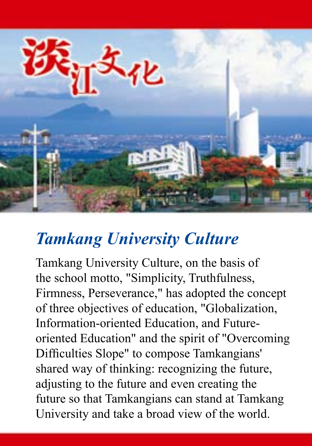

# *Tamkang University Culture*

Tamkang University Culture, on the basis of the school motto, "Simplicity, Truthfulness, Firmness, Perseverance," has adopted the concept of three objectives of education, "Globalization, Information-oriented Education, and Futureoriented Education" and the spirit of "Overcoming Difficulties Slope" to compose Tamkangians' shared way of thinking: recognizing the future, adjusting to the future and even creating the future so that Tamkangians can stand at Tamkang University and take a broad view of the world.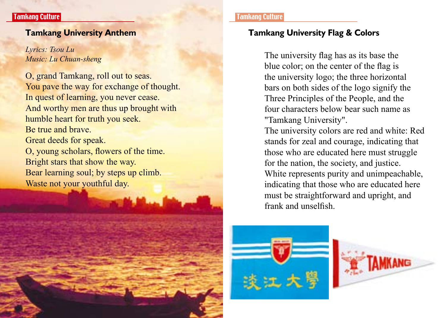*Lyrics: Tsou Lu Music: Lu Chuan-sheng*

O, grand Tamkang, roll out to seas. You pave the way for exchange of thought. In quest of learning, you never cease. And worthy men are thus up brought with humble heart for truth you seek. Be true and brave. Great deeds for speak. O, young scholars, flowers of the time. Bright stars that show the way. Bear learning soul; by steps up climb. Waste not your youthful day.

#### Tamk<mark>ang Culture</mark> Tamkang Culture Tamkang Culture Tamkang Culture Tamkang Culture

### **Tamkang University Anthem Tamkang University Flag & Colors**

The university flag has as its base the blue color; on the center of the flag is the university logo; the three horizontal bars on both sides of the logo signify the Three Principles of the People, and the four characters below bear such name as "Tamkang University".

The university colors are red and white: Red stands for zeal and courage, indicating that those who are educated here must struggle for the nation, the society, and justice. White represents purity and unimpeachable, indicating that those who are educated here must be straightforward and upright, and frank and unselfish.



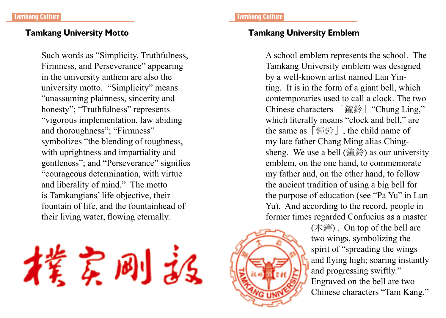Such words as "Simplicity, Truthfulness, Firmness, and Perseverance" appearing in the university anthem are also the university motto. "Simplicity" means "unassuming plainness, sincerity and honesty"; "Truthfulness" represents "vigorous implementation, law abiding and thoroughness"; "Firmness" symbolizes "the blending of toughness, with uprightness and impartiality and gentleness"; and "Perseverance" signifies "courageous determination, with virtue and liberality of mind." The motto is Tamkangians' life objective, their fountain of life, and the fountainhead of their living water, flowing eternally.

实刚派

### **Tamkang University Motto Tamkang University Emblem**

A school emblem represents the school. The Tamkang University emblem was designed by a well-known artist named Lan Yinting. It is in the form of a giant bell, which contemporaries used to call a clock. The two Chinese characters 「鐘鈴」"Chung Ling," which literally means "clock and bell," are the same as「鐘鈴」, the child name of my late father Chang Ming alias Chingsheng. We use a bell (鐘鈴) as our university emblem, on the one hand, to commemorate my father and, on the other hand, to follow the ancient tradition of using a big bell for the purpose of education (see "Pa Yu" in Lun Yu). And according to the record, people in former times regarded Confucius as a master

> (木鐸) . On top of the bell are two wings, symbolizing the spirit of "spreading the wings and flying high; soaring instantly and progressing swiftly." Engraved on the bell are two Chinese characters "Tam Kang."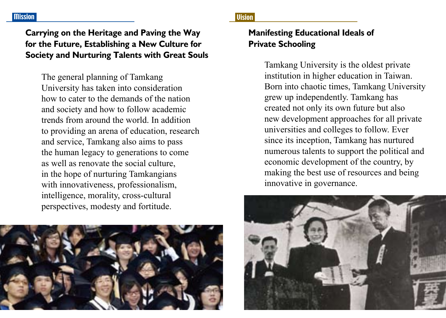# **Carrying on the Heritage and Paving the Way for the Future, Establishing a New Culture for Society and Nurturing Talents with Great Souls**

The general planning of Tamkang University has taken into consideration how to cater to the demands of the nation and society and how to follow academic trends from around the world. In addition to providing an arena of education, research and service, Tamkang also aims to pass the human legacy to generations to come as well as renovate the social culture, in the hope of nurturing Tamkangians with innovativeness, professionalism, intelligence, morality, cross-cultural perspectives, modesty and fortitude.



# **Manifesting Educational Ideals of Private Schooling**

Tamkang University is the oldest private institution in higher education in Taiwan. Born into chaotic times, Tamkang University grew up independently. Tamkang has created not only its own future but also new development approaches for all private universities and colleges to follow. Ever since its inception, Tamkang has nurtured numerous talents to support the political and economic development of the country, by making the best use of resources and being innovative in governance.

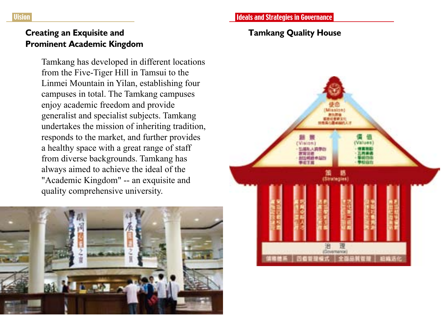### **Tamkang Quality House**



Tamkang has developed in different locations from the Five-Tiger Hill in Tamsui to the Linmei Mountain in Yilan, establishing four campuses in total. The Tamkang campuses enjoy academic freedom and provide generalist and specialist subjects. Tamkang undertakes the mission of inheriting tradition, responds to the market, and further provides a healthy space with a great range of staff from diverse backgrounds. Tamkang has always aimed to achieve the ideal of the "Academic Kingdom" -- an exquisite and quality comprehensive university.



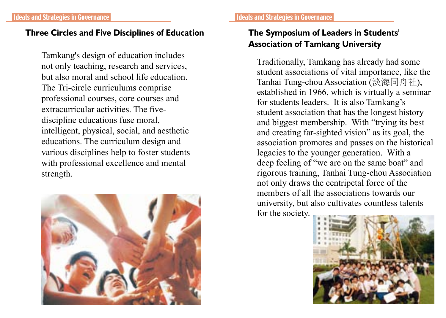# **Three Circles and Five Disciplines of Education The Symposium of Leaders in Students'**

Tamkang's design of education includes not only teaching, research and services, but also moral and school life education. The Tri-circle curriculums comprise professional courses, core courses and extracurricular activities. The fivediscipline educations fuse moral, intelligent, physical, social, and aesthetic educations. The curriculum design and various disciplines help to foster students with professional excellence and mental strength.



# **Association of Tamkang University**

Traditionally, Tamkang has already had some student associations of vital importance, like the Tanhai Tung-chou Association (淡海同舟社), established in 1966, which is virtually a seminar for students leaders. It is also Tamkang's student association that has the longest history and biggest membership. With "trying its best and creating far-sighted vision" as its goal, the association promotes and passes on the historical legacies to the younger generation. With a deep feeling of "we are on the same boat" and rigorous training, Tanhai Tung-chou Association not only draws the centripetal force of the members of all the associations towards our university, but also cultivates countless talents for the society.

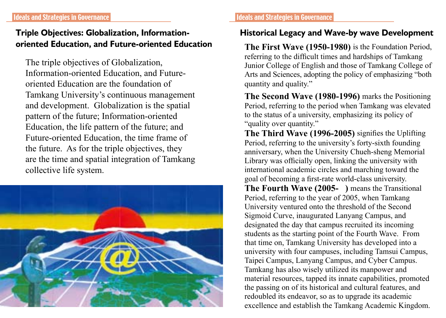# **Triple Objectives: Globalization, Informationoriented Education, and Future-oriented Education**

The triple objectives of Globalization, Information-oriented Education, and Futureoriented Education are the foundation of Tamkang University's continuous management and development. Globalization is the spatial pattern of the future; Information-oriented Education, the life pattern of the future; and Future-oriented Education, the time frame of the future. As for the triple objectives, they are the time and spatial integration of Tamkang collective life system.



# **Historical Legacy and Wave-by wave Development**

**The First Wave (1950-1980)** is the Foundation Period, referring to the difficult times and hardships of Tamkang Junior College of English and those of Tamkang College of Arts and Sciences, adopting the policy of emphasizing "both quantity and quality."

**The Second Wave (1980-1996)** marks the Positioning Period, referring to the period when Tamkang was elevated to the status of a university, emphasizing its policy of "quality over quantity."

**The Third Wave (1996-2005)** signifies the Uplifting Period, referring to the university's forty-sixth founding anniversary, when the University Chueh-sheng Memorial Library was officially open, linking the university with international academic circles and marching toward the goal of becoming a first-rate world-class university. **The Fourth Wave (2005-** ) means the Transitional Period, referring to the year of 2005, when Tamkang University ventured onto the threshold of the Second Sigmoid Curve, inaugurated Lanyang Campus, and designated the day that campus recruited its incoming students as the starting point of the Fourth Wave. From that time on, Tamkang University has developed into a university with four campuses, including Tamsui Campus, Taipei Campus, Lanyang Campus, and Cyber Campus. Tamkang has also wisely utilized its manpower and material resources, tapped its innate capabilities, promoted the passing on of its historical and cultural features, and redoubled its endeavor, so as to upgrade its academic excellence and establish the Tamkang Academic Kingdom.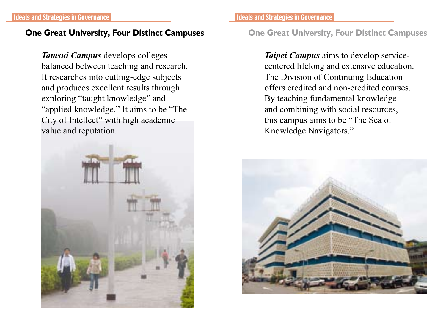Ideals and Strategies in Governance Ideals and Strategies in Governance

*Tamsui Campus* develops colleges balanced between teaching and research. It researches into cutting-edge subjects and produces excellent results through exploring "taught knowledge" and "applied knowledge." It aims to be "The City of Intellect" with high academic value and reputation.



### **One Great University, Four Distinct Campuses One Great University, Four Distinct Campuses**

*Taipei Campus* aims to develop servicecentered lifelong and extensive education. The Division of Continuing Education offers credited and non-credited courses. By teaching fundamental knowledge and combining with social resources, this campus aims to be "The Sea of Knowledge Navigators."

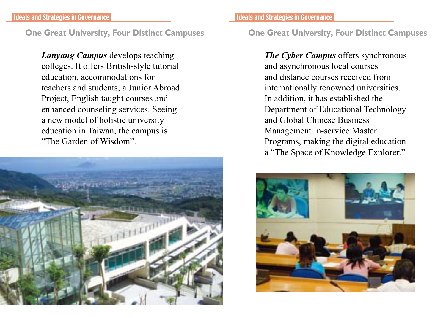*Lanyang Campus* develops teaching colleges. It offers British-style tutorial education, accommodations for teachers and students, a Junior Abroad Project, English taught courses and enhanced counseling services. Seeing a new model of holistic university education in Taiwan, the campus is "The Garden of Wisdom".



### **One Great University, Four Distinct Campuses One Great University, Four Distinct Campuses**

*The Cyber Campus* offers synchronous and asynchronous local courses and distance courses received from internationally renowned universities. In addition, it has established the Department of Educational Technology and Global Chinese Business Management In-service Master Programs, making the digital education a "The Space of Knowledge Explorer."

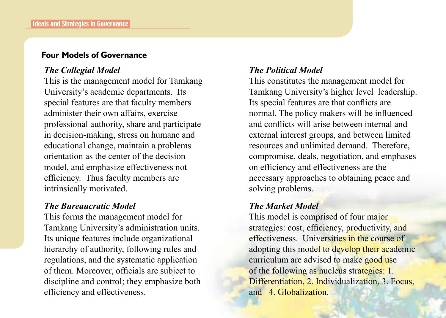### **Four Models of Governance**

### *The Collegial Model*

This is the management model for Tamkang University's academic departments. Its special features are that faculty members administer their own affairs, exercise professional authority, share and participate in decision-making, stress on humane and educational change, maintain a problems orientation as the center of the decision model, and emphasize effectiveness not efficiency. Thus faculty members are intrinsically motivated.

### *The Bureaucratic Model*

This forms the management model for Tamkang University's administration units. Its unique features include organizational hierarchy of authority, following rules and regulations, and the systematic application of them. Moreover, officials are subject to discipline and control; they emphasize both efficiency and effectiveness.

### *The Political Model*

This constitutes the management model for Tamkang University's higher level leadership. Its special features are that conflicts are normal. The policy makers will be influenced and conflicts will arise between internal and external interest groups, and between limited resources and unlimited demand. Therefore, compromise, deals, negotiation, and emphases on efficiency and effectiveness are the necessary approaches to obtaining peace and solving problems.

### *The Market Model*

This model is comprised of four major strategies: cost, efficiency, productivity, and effectiveness. Universities in the course of adopting this model to develop their academic curriculum are advised to make good use of the following as nucleus strategies: 1. Differentiation, 2. Individualization, 3. Focus, and 4. Globalization.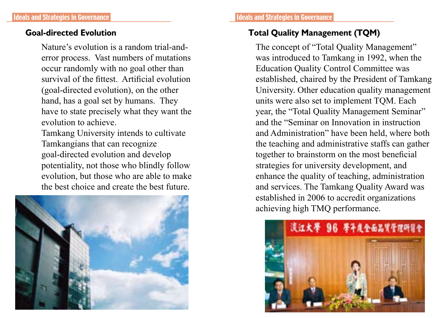Nature's evolution is a random trial-anderror process. Vast numbers of mutations occur randomly with no goal other than survival of the fittest. Artificial evolution (goal-directed evolution), on the other hand, has a goal set by humans. They have to state precisely what they want the evolution to achieve.

Tamkang University intends to cultivate Tamkangians that can recognize goal-directed evolution and develop potentiality, not those who blindly follow evolution, but those who are able to make the best choice and create the best future.



# **Goal-directed Evolution Total Quality Management (TQM)**

The concept of "Total Quality Management" was introduced to Tamkang in 1992, when the Education Quality Control Committee was established, chaired by the President of Tamkang University. Other education quality management units were also set to implement TQM. Each year, the "Total Quality Management Seminar" and the "Seminar on Innovation in instruction and Administration" have been held, where both the teaching and administrative staffs can gather together to brainstorm on the most beneficial strategies for university development, and enhance the quality of teaching, administration and services. The Tamkang Quality Award was established in 2006 to accredit organizations achieving high TMQ performance.

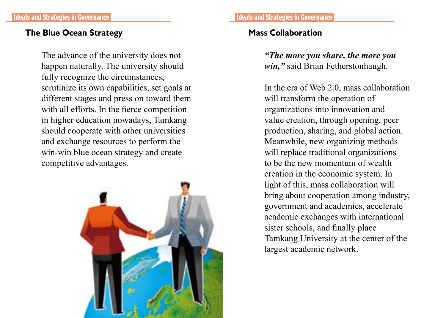# **The Blue Ocean Strategy Mass Collaboration**

The advance of the university does not happen naturally. The university should fully recognize the circumstances, scrutinize its own capabilities, set goals at different stages and press on toward them with all efforts. In the fierce competition in higher education nowadays, Tamkang should cooperate with other universities and exchange resources to perform the win-win blue ocean strategy and create competitive advantages.



*"The more you share, the more you win,"* said Brian Fetherstonhaugh.

In the era of Web 2.0, mass collaboration will transform the operation of organizations into innovation and value creation, through opening, peer production, sharing, and global action. Meanwhile, new organizing methods will replace traditional organizations to be the new momentum of wealth creation in the economic system. In light of this, mass collaboration will bring about cooperation among industry, government and academics, accelerate academic exchanges with international sister schools, and finally place Tamkang University at the center of the largest academic network.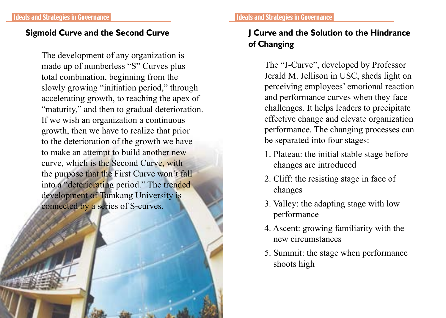# **Sigmoid Curve and the Second Curve**

The development of any organization is made up of numberless "S" Curves plus total combination, beginning from the slowly growing "initiation period," through accelerating growth, to reaching the apex of "maturity," and then to gradual deterioration. If we wish an organization a continuous growth, then we have to realize that prior to the deterioration of the growth we have to make an attempt to build another new curve, which is the Second Curve, with the purpose that the First Curve won't fall into a "deteriorating period." The trended development of Tamkang University is connected by a series of S-curves.

# **J Curve and the Solution to the Hindrance of Changing**

The "J-Curve", developed by Professor Jerald M. Jellison in USC, sheds light on perceiving employees' emotional reaction and performance curves when they face challenges. It helps leaders to precipitate effective change and elevate organization performance. The changing processes can be separated into four stages:

- 1. Plateau: the initial stable stage before changes are introduced
- 2. Cliff: the resisting stage in face of changes
- 3. Valley: the adapting stage with low performance
- 4. Ascent: growing familiarity with the new circumstances
- 5. Summit: the stage when performance shoots high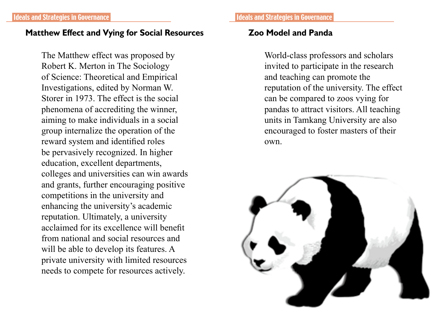### **Matthew Effect and Vying for Social Resources Zoo Model and Panda**

The Matthew effect was proposed by Robert K. Merton in The Sociology of Science: Theoretical and Empirical Investigations, edited by Norman W. Storer in 1973. The effect is the social phenomena of accrediting the winner, aiming to make individuals in a social group internalize the operation of the reward system and identified roles be pervasively recognized. In higher education, excellent departments, colleges and universities can win awards and grants, further encouraging positive competitions in the university and enhancing the university's academic reputation. Ultimately, a university acclaimed for its excellence will benefit from national and social resources and will be able to develop its features. A private university with limited resources needs to compete for resources actively.

World-class professors and scholars invited to participate in the research and teaching can promote the reputation of the university. The effect can be compared to zoos vying for pandas to attract visitors. All teaching units in Tamkang University are also encouraged to foster masters of their own.

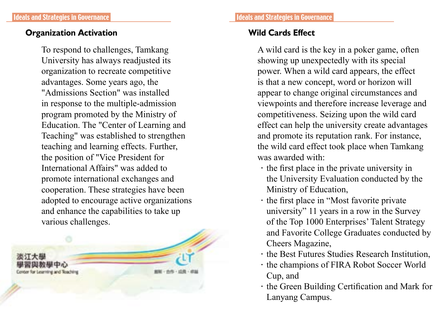# **Organization Activation**

To respond to challenges, Tamkang University has always readjusted its organization to recreate competitive advantages. Some years ago, the "Admissions Section" was installed in response to the multiple-admission program promoted by the Ministry of Education. The "Center of Learning and Teaching" was established to strengthen teaching and learning effects. Further, the position of "Vice President for International Affairs" was added to promote international exchanges and cooperation. These strategies have been adopted to encourage active organizations and enhance the capabilities to take up various challenges.



A wild card is the key in a poker game, often showing up unexpectedly with its special power. When a wild card appears, the effect is that a new concept, word or horizon will appear to change original circumstances and viewpoints and therefore increase leverage and competitiveness. Seizing upon the wild card effect can help the university create advantages and promote its reputation rank. For instance, the wild card effect took place when Tamkang was awarded with:

- $\cdot$  the first place in the private university in the University Evaluation conducted by the Ministry of Education,
- .the first place in "Most favorite private university" 11 years in a row in the Survey of the Top 1000 Enterprises' Talent Strategy and Favorite College Graduates conducted by Cheers Magazine,
- .the Best Futures Studies Research Institution,
- .the champions of FIRA Robot Soccer World Cup, and
- $\cdot$  the Green Building Certification and Mark for Lanyang Campus.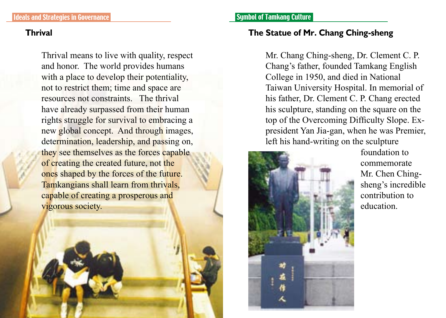Thrival means to live with quality, respect and honor. The world provides humans with a place to develop their potentiality, not to restrict them; time and space are resources not constraints. The thrival have already surpassed from their human rights struggle for survival to embracing a new global concept. And through images, determination, leadership, and passing on, they see themselves as the forces capable of creating the created future, not the ones shaped by the forces of the future. Tamkangians shall learn from thrivals, capable of creating a prosperous and vigorous society.

# **Thrival The Statue of Mr. Chang Ching-sheng**

Mr. Chang Ching-sheng, Dr. Clement C. P. Chang's father, founded Tamkang English College in 1950, and died in National Taiwan University Hospital. In memorial of his father, Dr. Clement C. P. Chang erected his sculpture, standing on the square on the top of the Overcoming Difficulty Slope. Expresident Yan Jia-gan, when he was Premier, left his hand-writing on the sculpture



foundation to commemorate Mr. Chen Chingsheng's incredible contribution to education.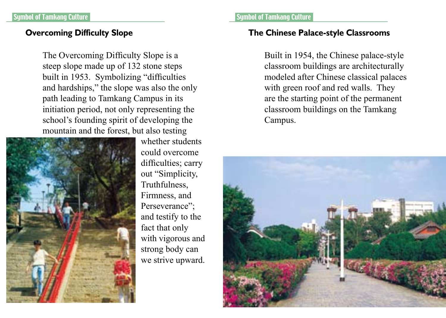The Overcoming Difficulty Slope is a steep slope made up of 132 stone steps built in 1953. Symbolizing "difficulties and hardships," the slope was also the only path leading to Tamkang Campus in its initiation period, not only representing the school's founding spirit of developing the mountain and the forest, but also testing



whether students could overcome difficulties; carry out "Simplicity, Truthfulness, Firmness, and Perseverance"; and testify to the fact that only with vigorous and strong body can we strive upward.

#### and the Symbol of Tamkang Culture Symbol of Tamkang Culture

### **Overcoming Difficulty Slope The Chinese Palace-style Classrooms**

Built in 1954, the Chinese palace-style classroom buildings are architecturally modeled after Chinese classical palaces with green roof and red walls. They are the starting point of the permanent classroom buildings on the Tamkang Campus.

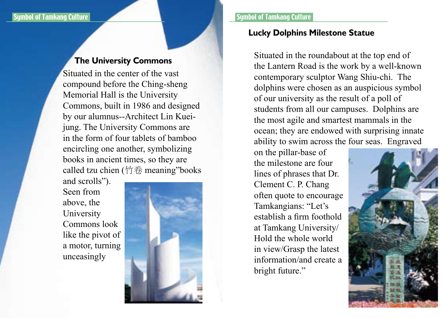### **The University Commons**

Situated in the center of the vast compound before the Ching-sheng Memorial Hall is the University Commons, built in 1986 and designed by our alumnus--Architect Lin Kueijung. The University Commons are in the form of four tablets of bamboo encircling one another, symbolizing books in ancient times, so they are called tzu chien (竹卷 meaning"books

and scrolls"). Seen from above, the University Commons look like the pivot of a motor, turning unceasingly



### **Lucky Dolphins Milestone Statue**

Situated in the roundabout at the top end of the Lantern Road is the work by a well-known contemporary sculptor Wang Shiu-chi. The dolphins were chosen as an auspicious symbol of our university as the result of a poll of students from all our campuses. Dolphins are the most agile and smartest mammals in the ocean; they are endowed with surprising innate ability to swim across the four seas. Engraved

on the pillar-base of the milestone are four lines of phrases that Dr. Clement C. P. Chang often quote to encourage Tamkangians: "Let's establish a firm foothold at Tamkang University/ Hold the whole world in view/Grasp the latest information/and create a bright future."

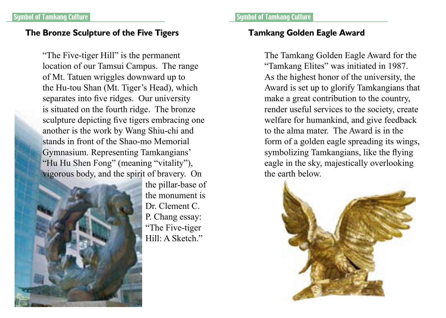### **The Bronze Sculpture of the Five Tigers Tamkang Golden Eagle Award**

"The Five-tiger Hill" is the permanent location of our Tamsui Campus. The range of Mt. Tatuen wriggles downward up to the Hu-tou Shan (Mt. Tiger's Head), which separates into five ridges. Our university is situated on the fourth ridge. The bronze sculpture depicting five tigers embracing one another is the work by Wang Shiu-chi and stands in front of the Shao-mo Memorial Gymnasium. Representing Tamkangians' "Hu Hu Shen Fong" (meaning "vitality"), vigorous body, and the spirit of bravery. On



the pillar-base of the monument is Dr. Clement C. P. Chang essay: "The Five-tiger Hill: A Sketch."

#### a Symbol of Tamkang Culture Symbol of Tamkang Culture Symbol of Tamkang Culture

The Tamkang Golden Eagle Award for the "Tamkang Elites" was initiated in 1987. As the highest honor of the university, the Award is set up to glorify Tamkangians that make a great contribution to the country, render useful services to the society, create welfare for humankind, and give feedback to the alma mater. The Award is in the form of a golden eagle spreading its wings, symbolizing Tamkangians, like the flying eagle in the sky, majestically overlooking the earth below.

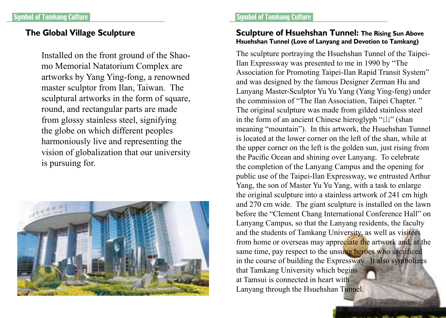Installed on the front ground of the Shaomo Memorial Natatorium Complex are artworks by Yang Ying-fong, a renowned master sculptor from Ilan, Taiwan. The sculptural artworks in the form of square, round, and rectangular parts are made from glossy stainless steel, signifying the globe on which different peoples harmoniously live and representing the vision of globalization that our university is pursuing for.



#### Symbol of Tamkang Culture Symbol of Tamkang Culture

#### **The Global Village Sculpture Sculpture of Hsuehshan Tunnel: The Rising Sun Above Hsuehshan Tunnel (Love of Lanyang and Devotion to Tamkang)**

The sculpture portraying the Hsuehshan Tunnel of the Taipei-Ilan Expressway was presented to me in 1990 by "The Association for Promoting Taipei-Ilan Rapid Transit System" and was designed by the famous Designer Zerman Hu and Lanyang Master-Sculptor Yu Yu Yang (Yang Ying-feng) under the commission of "The Ilan Association, Taipei Chapter. " The original sculpture was made from gilded stainless steel in the form of an ancient Chinese hieroglyph "山" (shan meaning "mountain"). In this artwork, the Hsuehshan Tunnel is located at the lower corner on the left of the shan, while at the upper corner on the left is the golden sun, just rising from the Pacific Ocean and shining over Lanyang. To celebrate the completion of the Lanyang Campus and the opening for public use of the Taipei-Ilan Expressway, we entrusted Arthur Yang, the son of Master Yu Yu Yang, with a task to enlarge the original sculpture into a stainless artwork of 241 cm high and 270 cm wide. The giant sculpture is installed on the lawn before the "Clement Chang International Conference Hall" on Lanyang Campus, so that the Lanyang residents, the faculty and the students of Tamkang University, as well as visitors from home or overseas may appreciate the artwork and, at the same time, pay respect to the unsung heroes who sacrificed in the course of building the Expressway. It also symbolizes that Tamkang University which begins at Tamsui is connected in heart with Lanyang through the Hsuehshan Tunnel.